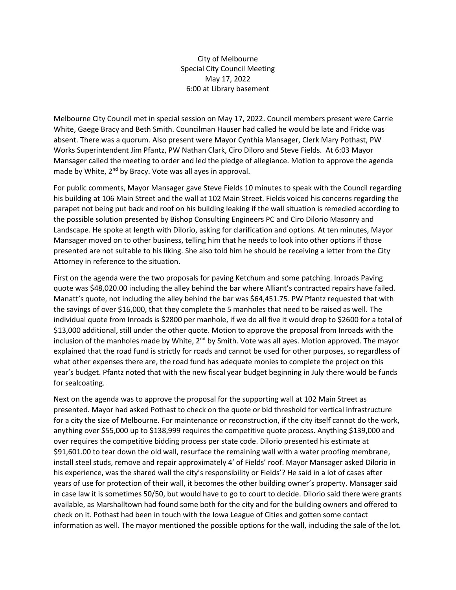City of Melbourne Special City Council Meeting May 17, 2022 6:00 at Library basement

Melbourne City Council met in special session on May 17, 2022. Council members present were Carrie White, Gaege Bracy and Beth Smith. Councilman Hauser had called he would be late and Fricke was absent. There was a quorum. Also present were Mayor Cynthia Mansager, Clerk Mary Pothast, PW Works Superintendent Jim Pfantz, PW Nathan Clark, Ciro Diloro and Steve Fields. At 6:03 Mayor Mansager called the meeting to order and led the pledge of allegiance. Motion to approve the agenda made by White, 2<sup>nd</sup> by Bracy. Vote was all ayes in approval.

For public comments, Mayor Mansager gave Steve Fields 10 minutes to speak with the Council regarding his building at 106 Main Street and the wall at 102 Main Street. Fields voiced his concerns regarding the parapet not being put back and roof on his building leaking if the wall situation is remedied according to the possible solution presented by Bishop Consulting Engineers PC and Ciro Dilorio Masonry and Landscape. He spoke at length with Dilorio, asking for clarification and options. At ten minutes, Mayor Mansager moved on to other business, telling him that he needs to look into other options if those presented are not suitable to his liking. She also told him he should be receiving a letter from the City Attorney in reference to the situation.

First on the agenda were the two proposals for paving Ketchum and some patching. Inroads Paving quote was \$48,020.00 including the alley behind the bar where Alliant's contracted repairs have failed. Manatt's quote, not including the alley behind the bar was \$64,451.75. PW Pfantz requested that with the savings of over \$16,000, that they complete the 5 manholes that need to be raised as well. The individual quote from Inroads is \$2800 per manhole, if we do all five it would drop to \$2600 for a total of \$13,000 additional, still under the other quote. Motion to approve the proposal from Inroads with the inclusion of the manholes made by White,  $2^{nd}$  by Smith. Vote was all ayes. Motion approved. The mayor explained that the road fund is strictly for roads and cannot be used for other purposes, so regardless of what other expenses there are, the road fund has adequate monies to complete the project on this year's budget. Pfantz noted that with the new fiscal year budget beginning in July there would be funds for sealcoating.

Next on the agenda was to approve the proposal for the supporting wall at 102 Main Street as presented. Mayor had asked Pothast to check on the quote or bid threshold for vertical infrastructure for a city the size of Melbourne. For maintenance or reconstruction, if the city itself cannot do the work, anything over \$55,000 up to \$138,999 requires the competitive quote process. Anything \$139,000 and over requires the competitive bidding process per state code. Dilorio presented his estimate at \$91,601.00 to tear down the old wall, resurface the remaining wall with a water proofing membrane, install steel studs, remove and repair approximately 4' of Fields' roof. Mayor Mansager asked Dilorio in his experience, was the shared wall the city's responsibility or Fields'? He said in a lot of cases after years of use for protection of their wall, it becomes the other building owner's property. Mansager said in case law it is sometimes 50/50, but would have to go to court to decide. Dilorio said there were grants available, as Marshalltown had found some both for the city and for the building owners and offered to check on it. Pothast had been in touch with the Iowa League of Cities and gotten some contact information as well. The mayor mentioned the possible options for the wall, including the sale of the lot.